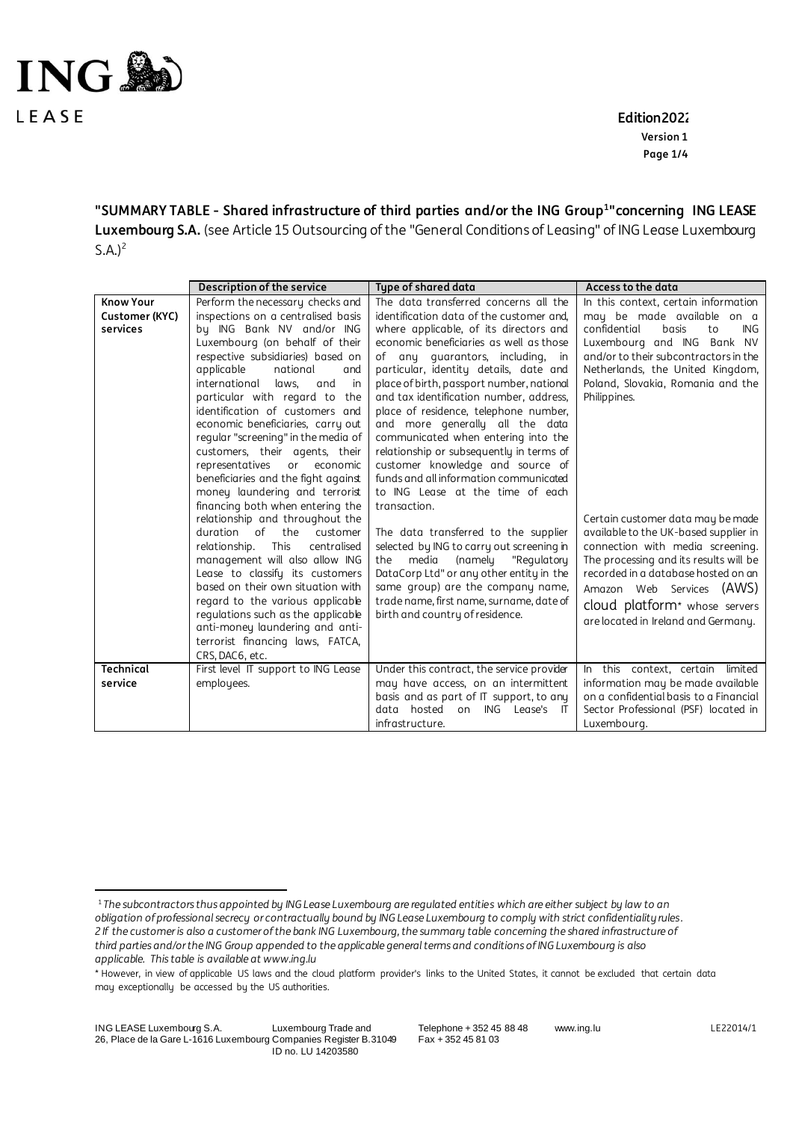

1

 **Edition2022 Version 1 Page 1/4**

**"SUMMARY TABLE - Shared infrastructure of third parties and/or the ING Group<sup>1</sup> "concerning ING LEASE Luxembourg S.A.** (see Article 15 Outsourcing of the "General Conditions of Leasing" of ING Lease Luxembourg  $S.A.$ <sup>2</sup>

|                             | Description of the service                                                                                                                                                                                                                                                                                                                                                                                                                                                | Type of shared data                                                                                                                                                                                                                                                                                                                                                                                                                                                                                                                              | Access to the data                                                                                                                                                                                                                                                                                               |
|-----------------------------|---------------------------------------------------------------------------------------------------------------------------------------------------------------------------------------------------------------------------------------------------------------------------------------------------------------------------------------------------------------------------------------------------------------------------------------------------------------------------|--------------------------------------------------------------------------------------------------------------------------------------------------------------------------------------------------------------------------------------------------------------------------------------------------------------------------------------------------------------------------------------------------------------------------------------------------------------------------------------------------------------------------------------------------|------------------------------------------------------------------------------------------------------------------------------------------------------------------------------------------------------------------------------------------------------------------------------------------------------------------|
| <b>Know Your</b>            | Perform the necessary checks and                                                                                                                                                                                                                                                                                                                                                                                                                                          | The data transferred concerns all the                                                                                                                                                                                                                                                                                                                                                                                                                                                                                                            | In this context, certain information                                                                                                                                                                                                                                                                             |
| Customer (KYC)<br>services  | inspections on a centralised basis<br>by ING Bank NV and/or ING<br>Luxembourg (on behalf of their<br>respective subsidiaries) based on<br>applicable<br>national<br>and<br>international<br>laws.<br>and<br>in<br>particular with regard to the<br>identification of customers and<br>economic beneficiaries, carry out<br>regular "screening" in the media of<br>customers, their agents, their<br>representatives<br>or economic<br>beneficiaries and the fight against | identification data of the customer and.<br>where applicable, of its directors and<br>economic beneficiaries as well as those<br>of any quarantors, including, in<br>particular, identity details, date and<br>place of birth, passport number, national<br>and tax identification number, address,<br>place of residence, telephone number,<br>and more generally all the data<br>communicated when entering into the<br>relationship or subsequently in terms of<br>customer knowledge and source of<br>funds and all information communicated | may be made available on a<br>confidential<br>ING.<br>basis<br>to<br>Luxembourg and ING Bank NV<br>and/or to their subcontractors in the<br>Netherlands, the United Kingdom,<br>Poland, Slovakia, Romania and the<br>Philippines.                                                                                |
|                             | money laundering and terrorist<br>financing both when entering the<br>relationship and throughout the<br>duration of<br>the<br>customer<br>relationship.<br><b>This</b><br>centralised<br>management will also allow ING<br>Lease to classify its customers<br>based on their own situation with<br>regard to the various applicable<br>regulations such as the applicable<br>anti-money laundering and anti-<br>terrorist financing laws, FATCA,<br>CRS, DAC6, etc.      | to ING Lease at the time of each<br>transaction.<br>The data transferred to the supplier<br>selected by ING to carry out screening in<br>media<br>(namely<br>"Regulatory<br>the<br>DataCorp Ltd" or any other entity in the<br>same group) are the company name,<br>trade name, first name, surname, date of<br>birth and country of residence.                                                                                                                                                                                                  | Certain customer data may be made<br>available to the UK-based supplier in<br>connection with media screening.<br>The processing and its results will be<br>recorded in a database hosted on an<br>Amazon Web Services (AWS)<br>cloud platform <sup>*</sup> whose servers<br>are located in Ireland and Germany. |
| <b>Technical</b><br>service | First level IT support to ING Lease<br>employees.                                                                                                                                                                                                                                                                                                                                                                                                                         | Under this contract, the service provider<br>may have access, on an intermittent<br>basis and as part of IT support, to any<br>ING<br>data hosted<br>Lease's IT<br>on<br>infrastructure.                                                                                                                                                                                                                                                                                                                                                         | In this context, certain limited<br>information may be made available<br>on a confidential basis to a Financial<br>Sector Professional (PSF) located in<br>Luxembourg.                                                                                                                                           |

<sup>&</sup>lt;sup>1</sup> The subcontractors thus appointed by ING Lease Luxembourg are regulated entities which are either subject by law to an *obligation of professional secrecy or contractually bound by ING Lease Luxembourg to comply with strict confidentiality rules. 2 If the customer is also a customer of the bank ING Luxembourg, the summary table concerning the shared infrastructure of third parties and/or the ING Group appended to the applicable general terms and conditions of ING Luxembourg is also applicable. This table is available at www.ing.lu*

<sup>\*</sup> However, in view of applicable US laws and the cloud platform provider's links to the United States, it cannot be excluded that certain data may exceptionally be accessed by the US authorities.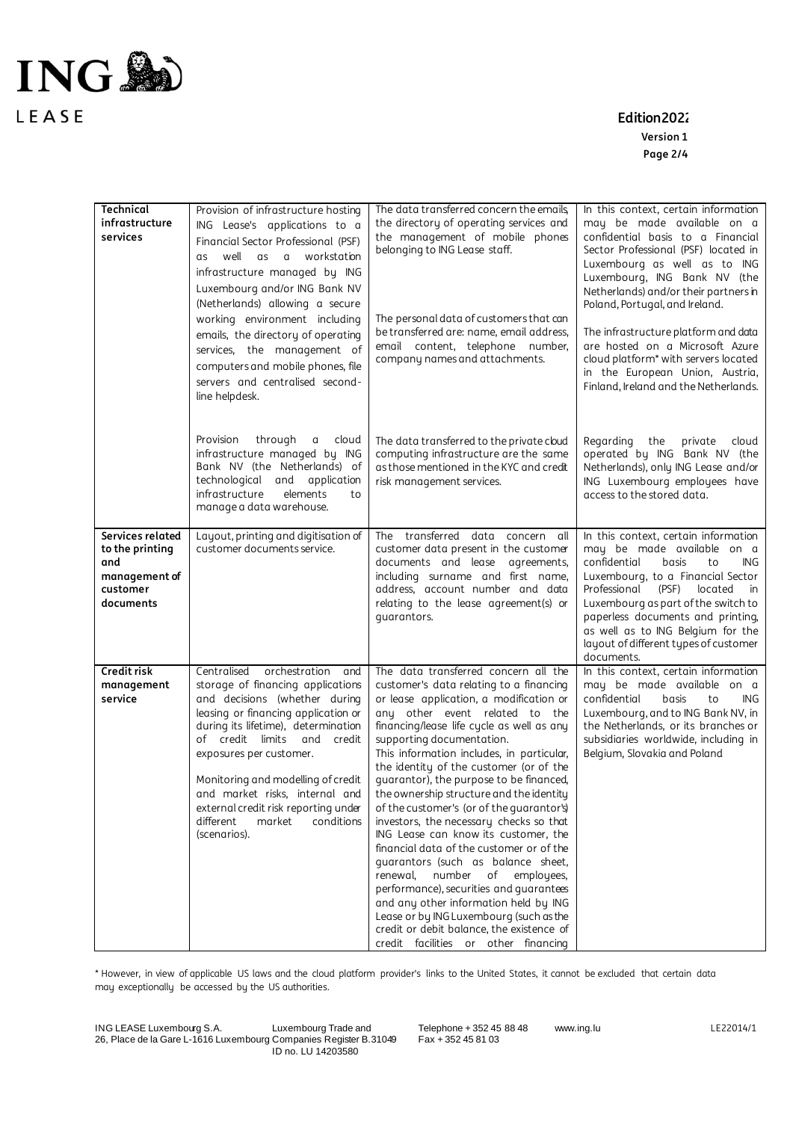

**Edition2022**

**Version 1 Page 2/4**

| <b>Technical</b><br>infrastructure<br>services                                       | Provision of infrastructure hosting<br>ING Lease's applications to a<br>Financial Sector Professional (PSF)<br>well as a workstation<br>as<br>infrastructure managed by ING<br>Luxembourg and/or ING Bank NV<br>(Netherlands) allowing a secure<br>working environment including<br>emails, the directory of operating<br>services, the management of<br>computers and mobile phones, file                          | The data transferred concern the emails<br>the directory of operating services and<br>the management of mobile phones<br>belonging to ING Lease staff.<br>The personal data of customers that can<br>be transferred are: name, email address,<br>email content, telephone number,<br>company names and attachments.                                                                                                                                                                                                                                                                                                                                                                                                                                                                                                                                                                                   | In this context, certain information<br>may be made available on a<br>confidential basis to a Financial<br>Sector Professional (PSF) located in<br>Luxembourg as well as to ING<br>Luxembourg, ING Bank NV (the<br>Netherlands) and/or their partners in<br>Poland, Portugal, and Ireland.<br>The infrastructure platform and data<br>are hosted on a Microsoft Azure<br>cloud platform* with servers located<br>in the European Union, Austria, |
|--------------------------------------------------------------------------------------|---------------------------------------------------------------------------------------------------------------------------------------------------------------------------------------------------------------------------------------------------------------------------------------------------------------------------------------------------------------------------------------------------------------------|-------------------------------------------------------------------------------------------------------------------------------------------------------------------------------------------------------------------------------------------------------------------------------------------------------------------------------------------------------------------------------------------------------------------------------------------------------------------------------------------------------------------------------------------------------------------------------------------------------------------------------------------------------------------------------------------------------------------------------------------------------------------------------------------------------------------------------------------------------------------------------------------------------|--------------------------------------------------------------------------------------------------------------------------------------------------------------------------------------------------------------------------------------------------------------------------------------------------------------------------------------------------------------------------------------------------------------------------------------------------|
|                                                                                      | servers and centralised second-<br>line helpdesk.<br>through<br>Provision<br>cloud<br>α<br>infrastructure managed by ING<br>Bank NV (the Netherlands) of<br>technological and application<br>infrastructure<br>elements<br>to<br>manage a data warehouse.                                                                                                                                                           | The data transferred to the private cloud<br>computing infrastructure are the same<br>as those mentioned in the KYC and credit<br>risk management services.                                                                                                                                                                                                                                                                                                                                                                                                                                                                                                                                                                                                                                                                                                                                           | Finland, Ireland and the Netherlands.<br>Regarding the<br>private<br>cloud<br>operated by ING Bank NV (the<br>Netherlands), only ING Lease and/or<br>ING Luxembourg employees have<br>access to the stored data.                                                                                                                                                                                                                                 |
| Services related<br>to the printing<br>and<br>management of<br>customer<br>documents | Layout, printing and digitisation of<br>customer documents service.                                                                                                                                                                                                                                                                                                                                                 | The transferred data concern all<br>customer data present in the customer<br>documents and lease agreements,<br>including surname and first name,<br>address, account number and data<br>relating to the lease agreement(s) or<br>quarantors.                                                                                                                                                                                                                                                                                                                                                                                                                                                                                                                                                                                                                                                         | In this context, certain information<br>may be made available on a<br>confidential<br>basis<br>to<br>ING.<br>Luxembourg, to a Financial Sector<br>Professional<br>(PSF)<br>located<br>in<br>Luxembourg as part of the switch to<br>paperless documents and printing,<br>as well as to ING Belgium for the<br>layout of different types of customer<br>documents.                                                                                 |
| Credit risk<br>management<br>service                                                 | orchestration and<br>Centralised<br>storage of financing applications<br>and decisions (whether during<br>leasing or financing application or<br>during its lifetime), determination<br>of credit limits and credit<br>exposures per customer.<br>Monitoring and modelling of credit<br>and market risks, internal and<br>external credit risk reporting under<br>different<br>market<br>conditions<br>(scenarios). | The data transferred concern all the<br>customer's data relating to a financing<br>or lease application, a modification or<br>any other event related to the<br>financing/lease life cycle as well as any<br>supporting documentation.<br>This information includes, in particular,<br>the identity of the customer (or of the<br>guarantor), the purpose to be financed,<br>the ownership structure and the identity<br>of the customer's (or of the guarantor's)<br>investors, the necessary checks so that<br>ING Lease can know its customer, the<br>financial data of the customer or of the<br>guarantors (such as balance sheet,<br>renewal,<br>number<br>of<br>employees,<br>performance), securities and guarantees<br>and any other information held by ING<br>Lease or by ING Luxembourg (such as the<br>credit or debit balance, the existence of<br>credit facilities or other financing | In this context, certain information<br>may be made available on a<br>confidential<br>basis<br>to<br>ING.<br>Luxembourg, and to ING Bank NV, in<br>the Netherlands, or its branches or<br>subsidiaries worldwide, including in<br>Belgium, Slovakia and Poland                                                                                                                                                                                   |

\* However, in view of applicable US laws and the cloud platform provider's links to the United States, it cannot be excluded that certain data may exceptionally be accessed by the US authorities.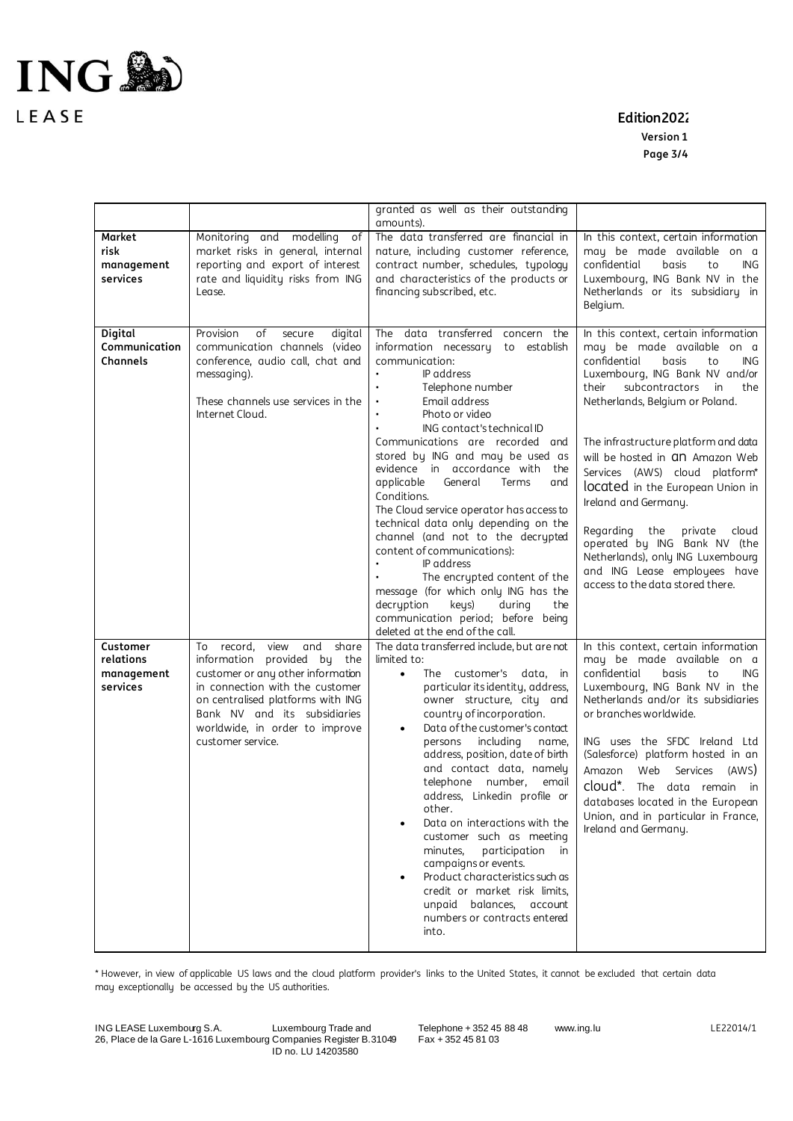

LEASE

## **Edition2022**

**Version 1 Page 3/4**

|                                                 |                                                                                                                                                                                                                                                                          | granted as well as their outstanding                                                                                                                                                                                                                                                                                                                                                                                                                                                                                                                                                                                                                                                     |                                                                                                                                                                                                                                                                                                                                                                                                                                                                      |
|-------------------------------------------------|--------------------------------------------------------------------------------------------------------------------------------------------------------------------------------------------------------------------------------------------------------------------------|------------------------------------------------------------------------------------------------------------------------------------------------------------------------------------------------------------------------------------------------------------------------------------------------------------------------------------------------------------------------------------------------------------------------------------------------------------------------------------------------------------------------------------------------------------------------------------------------------------------------------------------------------------------------------------------|----------------------------------------------------------------------------------------------------------------------------------------------------------------------------------------------------------------------------------------------------------------------------------------------------------------------------------------------------------------------------------------------------------------------------------------------------------------------|
|                                                 |                                                                                                                                                                                                                                                                          | amounts).                                                                                                                                                                                                                                                                                                                                                                                                                                                                                                                                                                                                                                                                                |                                                                                                                                                                                                                                                                                                                                                                                                                                                                      |
| Market<br>risk<br>management<br>services        | Monitoring and modelling<br>оf<br>market risks in general, internal<br>reporting and export of interest<br>rate and liquidity risks from ING<br>Lease.                                                                                                                   | The data transferred are financial in<br>nature, including customer reference,<br>contract number, schedules, typology<br>and characteristics of the products or<br>financing subscribed, etc.                                                                                                                                                                                                                                                                                                                                                                                                                                                                                           | In this context, certain information<br>may be made available on a<br>confidential<br>ING<br>basis<br>to<br>Luxembourg, ING Bank NV in the<br>Netherlands or its subsidiary in<br>Belgium.                                                                                                                                                                                                                                                                           |
| <b>Digital</b><br>Communication<br>Channels     | Provision<br>of<br>secure<br>digital<br>communication channels (video<br>conference, audio call, chat and<br>messaging).<br>These channels use services in the<br>Internet Cloud.                                                                                        | The data transferred concern the<br>information necessary<br>to<br>establish<br>communication:<br>IP address<br>Telephone number<br>Email address<br>Photo or video<br>ING contact's technical ID                                                                                                                                                                                                                                                                                                                                                                                                                                                                                        | In this context, certain information<br>may be made available on a<br>confidential<br>basis<br><b>ING</b><br>to<br>Luxembourg, ING Bank NV and/or<br>their<br>subcontractors<br>in<br>the<br>Netherlands, Belgium or Poland.                                                                                                                                                                                                                                         |
|                                                 |                                                                                                                                                                                                                                                                          | Communications are recorded and<br>stored by ING and may be used as<br>evidence in accordance with<br>the<br>applicable<br>General<br>Terms<br>and<br>Conditions.<br>The Cloud service operator has access to<br>technical data only depending on the<br>channel (and not to the decrypted<br>content of communications):<br>IP address<br>The encrypted content of the<br>message (for which only ING has the<br>decryption<br>keys)<br>during<br>the<br>communication period; before being<br>deleted at the end of the call.                                                                                                                                                          | The infrastructure platform and data<br>will be hosted in <b>an</b> Amazon Web<br>Services (AWS) cloud platform*<br>located in the European Union in<br>Ireland and Germany.<br>Regarding the<br>private<br>cloud<br>operated by ING Bank NV (the<br>Netherlands), only ING Luxembourg<br>and ING Lease employees have<br>access to the data stored there.                                                                                                           |
| Customer<br>relations<br>management<br>services | record.<br>view<br>and<br>share<br>To<br>information provided by the<br>customer or any other information<br>in connection with the customer<br>on centralised platforms with ING<br>Bank NV and its subsidiaries<br>worldwide, in order to improve<br>customer service. | The data transferred include, but are not<br>limited to:<br>The customer's data, in<br>$\bullet$<br>particular its identity, address,<br>owner structure, city and<br>country of incorporation.<br>Data of the customer's contact<br>$\bullet$<br>persons including<br>name,<br>address, position, date of birth<br>and contact data, namely<br>telephone number,<br>email<br>address, Linkedin profile or<br>other.<br>Data on interactions with the<br>customer such as meeting<br>minutes.<br>participation<br>in<br>campaigns or events.<br>Product characteristics such as<br>credit or market risk limits,<br>unpaid balances,<br>account<br>numbers or contracts entered<br>into. | In this context, certain information<br>may be made available on a<br>confidential<br><b>ING</b><br>basis<br>to<br>Luxembourg, ING Bank NV in the<br>Netherlands and/or its subsidiaries<br>or branches worldwide.<br>ING uses the SFDC Ireland Ltd<br>(Salesforce) platform hosted in an<br>Amazon<br>Web<br>Services<br>(AWS)<br>cloud*.<br>The data remain in<br>databases located in the European<br>Union, and in particular in France,<br>Ireland and Germany. |

\* However, in view of applicable US laws and the cloud platform provider's links to the United States, it cannot be excluded that certain data may exceptionally be accessed by the US authorities.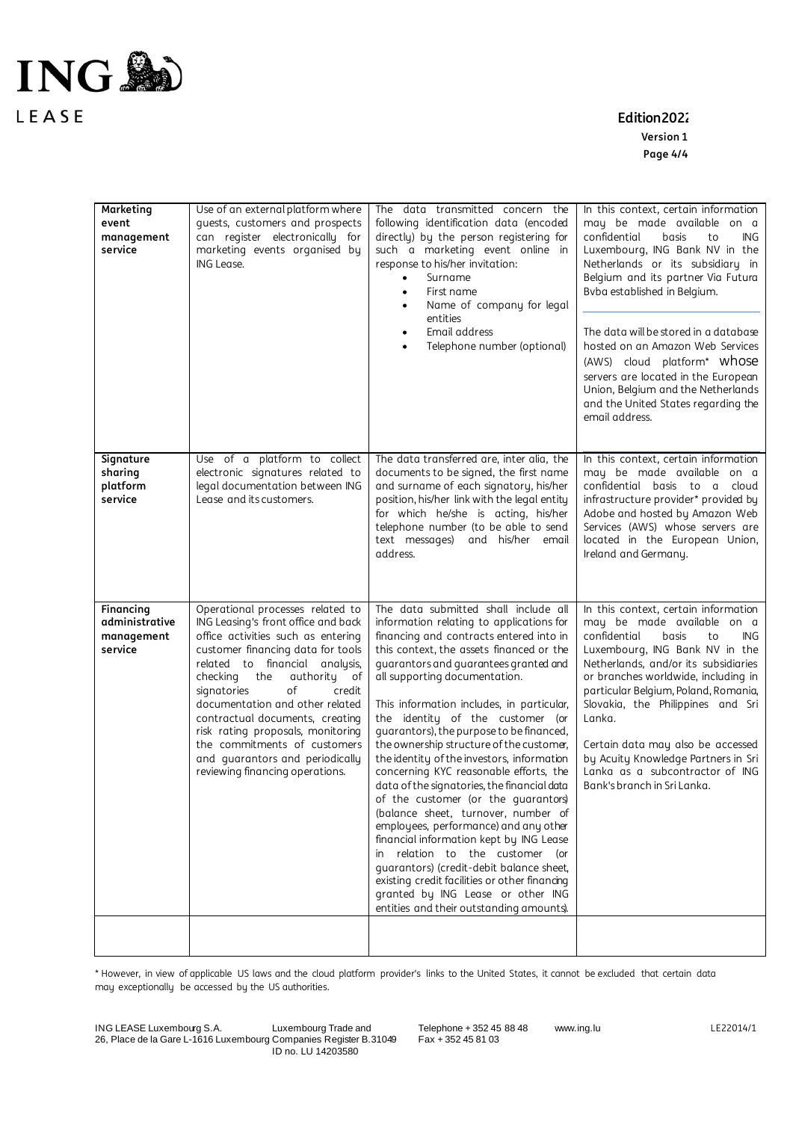

LEASE

## **Edition2022**

**Version 1 Page 4/4**

| Marketing<br>event<br>management<br>service          | Use of an external platform where<br>guests, customers and prospects<br>can register electronically for<br>marketing events organised by<br>ING Lease.                                                                                                                                                                                                                                                                                                                     | The data transmitted concern the<br>following identification data (encoded<br>directly) by the person registering for<br>such a marketing event online in<br>response to his/her invitation:<br>Surname<br>First name<br>٠<br>Name of company for legal<br>$\bullet$<br>entities<br>Email address<br>Telephone number (optional)                                                                                                                                                                                                                                                                                                                                                                                                                                                                                                                                                                                                                        | In this context, certain information<br>may be made available on a<br>confidential<br>basis<br>to<br>ING.<br>Luxembourg, ING Bank NV in the<br>Netherlands or its subsidiary in<br>Belgium and its partner Via Futura<br>Bvba established in Belgium.<br>The data will be stored in a database<br>hosted on an Amazon Web Services<br>(AWS) cloud platform* Whose<br>servers are located in the European<br>Union, Belgium and the Netherlands<br>and the United States regarding the<br>email address. |
|------------------------------------------------------|----------------------------------------------------------------------------------------------------------------------------------------------------------------------------------------------------------------------------------------------------------------------------------------------------------------------------------------------------------------------------------------------------------------------------------------------------------------------------|---------------------------------------------------------------------------------------------------------------------------------------------------------------------------------------------------------------------------------------------------------------------------------------------------------------------------------------------------------------------------------------------------------------------------------------------------------------------------------------------------------------------------------------------------------------------------------------------------------------------------------------------------------------------------------------------------------------------------------------------------------------------------------------------------------------------------------------------------------------------------------------------------------------------------------------------------------|---------------------------------------------------------------------------------------------------------------------------------------------------------------------------------------------------------------------------------------------------------------------------------------------------------------------------------------------------------------------------------------------------------------------------------------------------------------------------------------------------------|
| Signature                                            | Use of a platform to collect                                                                                                                                                                                                                                                                                                                                                                                                                                               | The data transferred are, inter alia, the                                                                                                                                                                                                                                                                                                                                                                                                                                                                                                                                                                                                                                                                                                                                                                                                                                                                                                               | In this context, certain information                                                                                                                                                                                                                                                                                                                                                                                                                                                                    |
| sharing<br>platform<br>service                       | electronic signatures related to<br>legal documentation between ING<br>Lease and its customers.                                                                                                                                                                                                                                                                                                                                                                            | documents to be signed, the first name<br>and surname of each signatory, his/her<br>position, his/her link with the legal entity<br>for which he/she is acting, his/her<br>telephone number (to be able to send<br>text messages) and his/her email<br>address.                                                                                                                                                                                                                                                                                                                                                                                                                                                                                                                                                                                                                                                                                         | may be made available on a<br>confidential basis to a<br>cloud<br>infrastructure provider* provided by<br>Adobe and hosted by Amazon Web<br>Services (AWS) whose servers are<br>located in the European Union,<br>Ireland and Germany.                                                                                                                                                                                                                                                                  |
| Financing<br>administrative<br>management<br>service | Operational processes related to<br>ING Leasing's front office and back<br>office activities such as entering<br>customer financing data for tools<br>related to financial analysis,<br>checking<br>the<br>authority<br>оf<br>οf<br>signatories<br>credit<br>documentation and other related<br>contractual documents, creating<br>risk rating proposals, monitoring<br>the commitments of customers<br>and guarantors and periodically<br>reviewing financing operations. | The data submitted shall include all<br>information relating to applications for<br>financing and contracts entered into in<br>this context, the assets financed or the<br>guarantors and guarantees granted and<br>all supporting documentation.<br>This information includes, in particular,<br>the identity of the customer (or<br>quarantors), the purpose to be financed,<br>the ownership structure of the customer,<br>the identity of the investors, information<br>concerning KYC reasonable efforts, the<br>data of the signatories, the financial data<br>of the customer (or the guarantors)<br>(balance sheet, turnover, number of<br>employees, performance) and any other<br>financial information kept by ING Lease<br>in relation to the customer<br>(or<br>quarantors) (credit-debit balance sheet,<br>existing credit facilities or other financing<br>granted by ING Lease or other ING<br>entities and their outstanding amounts). | In this context, certain information<br>may be made available on a<br>confidential<br>basis<br>to<br>ING.<br>Luxembourg, ING Bank NV in the<br>Netherlands, and/or its subsidiaries<br>or branches worldwide, including in<br>particular Belgium, Poland, Romania,<br>Slovakia, the Philippines and Sri<br>Lanka.<br>Certain data may also be accessed<br>by Acuity Knowledge Partners in Sri<br>Lanka as a subcontractor of ING<br>Bank's branch in Sri Lanka.                                         |
|                                                      |                                                                                                                                                                                                                                                                                                                                                                                                                                                                            |                                                                                                                                                                                                                                                                                                                                                                                                                                                                                                                                                                                                                                                                                                                                                                                                                                                                                                                                                         |                                                                                                                                                                                                                                                                                                                                                                                                                                                                                                         |

\* However, in view of applicable US laws and the cloud platform provider's links to the United States, it cannot be excluded that certain data may exceptionally be accessed by the US authorities.